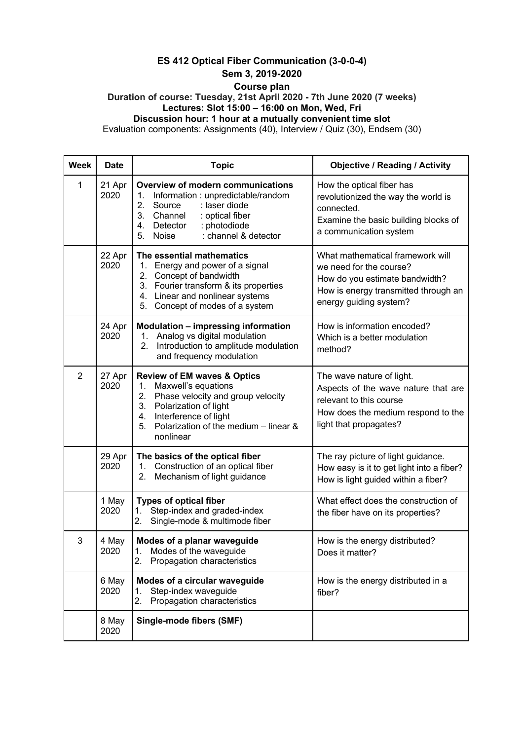## **ES 412 Optical Fiber Communication (3-0-0-4) Sem 3, 2019-2020**

## **Course plan**

**Duration of course: Tuesday, 21st April 2020 - 7th June 2020 (7 weeks) Lectures: Slot 15:00 – 16:00 on Mon, Wed, Fri Discussion hour: 1 hour at a mutually convenient time slot**

Evaluation components: Assignments (40), Interview / Quiz (30), Endsem (30)

| <b>Week</b>    | <b>Date</b>    | <b>Topic</b>                                                                                                                                                                                                                             | <b>Objective / Reading / Activity</b>                                                                                                                           |
|----------------|----------------|------------------------------------------------------------------------------------------------------------------------------------------------------------------------------------------------------------------------------------------|-----------------------------------------------------------------------------------------------------------------------------------------------------------------|
| 1              | 21 Apr<br>2020 | <b>Overview of modern communications</b><br>1.<br>Information: unpredictable/random<br>2.<br>Source<br>: laser diode<br>3. Channel<br>: optical fiber<br>4.<br>Detector<br>: photodiode<br>5.<br>: channel & detector<br>Noise           | How the optical fiber has<br>revolutionized the way the world is<br>connected.<br>Examine the basic building blocks of<br>a communication system                |
|                | 22 Apr<br>2020 | The essential mathematics<br>Energy and power of a signal<br>1.<br>Concept of bandwidth<br>2.<br>3. Fourier transform & its properties<br>4. Linear and nonlinear systems<br>Concept of modes of a system<br>5.                          | What mathematical framework will<br>we need for the course?<br>How do you estimate bandwidth?<br>How is energy transmitted through an<br>energy guiding system? |
|                | 24 Apr<br>2020 | <b>Modulation - impressing information</b><br>Analog vs digital modulation<br>1.<br>2.<br>Introduction to amplitude modulation<br>and frequency modulation                                                                               | How is information encoded?<br>Which is a better modulation<br>method?                                                                                          |
| $\overline{2}$ | 27 Apr<br>2020 | <b>Review of EM waves &amp; Optics</b><br>Maxwell's equations<br>1.<br>2.<br>Phase velocity and group velocity<br>3.<br>Polarization of light<br>Interference of light<br>4.<br>5.<br>Polarization of the medium - linear &<br>nonlinear | The wave nature of light.<br>Aspects of the wave nature that are<br>relevant to this course<br>How does the medium respond to the<br>light that propagates?     |
|                | 29 Apr<br>2020 | The basics of the optical fiber<br>Construction of an optical fiber<br>1.<br>Mechanism of light guidance<br>2.                                                                                                                           | The ray picture of light guidance.<br>How easy is it to get light into a fiber?<br>How is light guided within a fiber?                                          |
|                | 1 May<br>2020  | <b>Types of optical fiber</b><br>Step-index and graded-index<br>1.<br>2.<br>Single-mode & multimode fiber                                                                                                                                | What effect does the construction of<br>the fiber have on its properties?                                                                                       |
| 3              | 4 May<br>2020  | Modes of a planar waveguide<br>1. Modes of the waveguide<br>2. Propagation characteristics                                                                                                                                               | How is the energy distributed?<br>Does it matter?                                                                                                               |
|                | 6 May<br>2020  | Modes of a circular waveguide<br>Step-index waveguide<br>1.<br>Propagation characteristics<br>2.                                                                                                                                         | How is the energy distributed in a<br>fiber?                                                                                                                    |
|                | 8 May<br>2020  | <b>Single-mode fibers (SMF)</b>                                                                                                                                                                                                          |                                                                                                                                                                 |